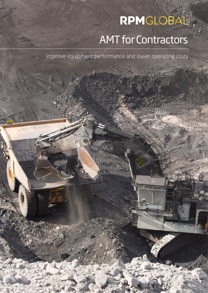# RPMGLOBÁL AMT for Contractors

Improve equipment performance and lower operating costs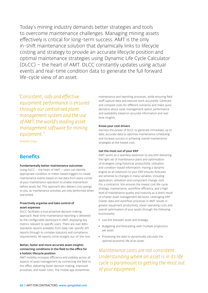Today's mining industry demands better strategies and tools to overcome maintenance challenges. Managing mining assets effectively is critical for long-term success. AMT is the only in-shift maintenance solution that dynamically links to lifecycle costing and strategy to provide an accurate lifecycle position and optimal maintenance strategies using Dynamic Life Cycle Calculator (DLCC) – the heart of AMT. DLCC constantly updates using actual events and real-time condition data to generate the full forward life-cycle view of an asset.

*"Consistent, safe and effective equipment performance is ensured through our centralised plant management system and the use of AMT, the world's leading asset management software for mining equipment."*

*Downer Group*

## **Benefits**

## Fundamentally better maintenance outcomes

Using DLCC – the heart of AMT – users can identify appropriate condition or meter-based triggers to create maintenance events based on live data from every corner of your maintenance operation to enable intervention before assets fail. This approach also delivers cost savings to you, as maintenance activities are only performed when warranted.

## Proactively organise and take control of asset expenses

DLCC facilitates a true proactive decision making approach. Real-time maintenance reporting is delivered by the configurable dashboard in AMT, displaying key metrics relevant to specific users. There are over 400+ standards reports available, from daily role-specific KPI reports through to complex statutory and compliance requirements. All reports come straight out-of-the-box.

## Better, faster and more accurate asset insights connecting conditions in the field to the office for a holistic lifecycle position

AMT mobility increases efficiency and visibility across all aspects of asset management by connecting the field to the office, delivering faster decision making, improved processes, and lower costs. The mobile app streamlines

maintenance and reporting processes, while ensuring field staff capture data and execute work accurately. Generate and compare costs for different scenarios and make quick decisions about asset management spend, performance and availability based on accurate information and realtime insights.

#### Know your cost drivers

Harness the power of DLCC to generate immediate, up to date, accurate data to optimise maintenance scheduling and increase success in achieving overall maintenance strategies at the lowest cost.

## Get the most out of your ERP

AMT works as a seamless extension to any ERP delivering the right set of maintenance plans and optimisation of strategies using historical, productivity, utilisation and condition-based information. Having a dynamic engine as an extension to your ERP ensures forecasts are sensitive to changes in many variables, including application, utilisation and component change-outs. For a contractor, this ensures the lowest cost life-cycle strategy, maintenance, workflow efficiency, and a high level of maintenance quality and maturity as a direct result of smarter asset management decisions. Leveraging ERP master data and workflow processes in AMT results in greater equipment productivity, lower operating costs and overall optimisation of your assets through the following functionality:

- Live link between asset and strategy;
- Budgeting and forecasting with multiple projections per asset;
- Processing live data to dynamically calculate the optimal economic life of an asset;

*Maintenance costs are not consistent. Understanding where an asset is in its life cycle is paramount to getting the most out of your equipment.*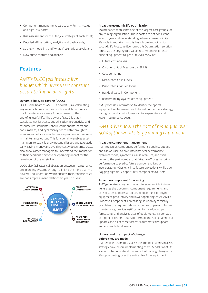- Component management, particularly for high-value and high-risk parts;
- Risk assessment for the lifecycle strategy of each asset;
- Detailed KPI reporting, analytics and dashboards;
- Strategy modelling and "what if" scenario analysis; and
- Downtime capture and analysis.

## Features

# *AMT's DLCC facilitates a live budget which gives users constant, accurate financial insights.*

## Dynamic life cycle costing (DLCC)

DLCC is the heart of  $AMT - a$  powerful, live calculating engine which provides users with a real-time forecast of all maintenance events for equipment to the end of its useful life. The power of DLCC is that it calculates not just costs but utilisation, productivity and resource requirements (labour, components, parts and consumables) and dynamically sends data through to every aspect of your maintenance operation for precision in maintenance output. This functionality enables asset managers to easily identify potential issues and take action early, saving money and avoiding costly down time. DLCC also allows asset managers to understand the implication of their decisions now on the operating impact for the remainder of the assets life.

DLCC also facilitates collaboration between maintenance and planning systems through a link to the mine plan  $-$  a powerful collaboration which ensures maintenance costs are not simply a linear relationship year-on-year.



### Proactive economic life optimisation

Maintenance represents one of the largest cost groups for any mining organisation. These costs are not consistent year on year and understanding where an asset is in its life cycle is important as this has a large impact on its cost. AMT's Proactive Economic Life Optimisation solution forecasts the aggregated value in components for each price of equipment to get a life cycle view on:

- Future cost analysis
- Cost per Unit of Measure (i.e. SMU)
- Cost per Tonne
- Discounted Cash Flows
- Discounted Cost Per Tonne
- Residual Value in Component
- Benchmarking against other equipment

AMT processes information to identify the optimal equipment replacement points based on the users strategy for higher productivity, lower capital expenditure and lower maintenance costs.

## *AMT drives down the cost of managing over 50% of the world's large mining equipment.*

### Proactive component management

AMT measures component performance against budget and allows users to dive into historical performance by failure mode, symptoms, cause of failure, and even down to the part number that failed. AMT uses historical performance to predict future component lives by incorporating RCM logic into future projections while also flagging high risk / opportunity components to users.

## Proactive component forecasting

AMT generates a live component forecast which, in turn, generates the upcoming component requirements and consolidates it across all pieces of equipment for higher equipment productivity and lower operating costs. AMT's Proactive Component Forecasting solution dynamically calculates the required labour resources to perform future maintenance, provide justification for headcount, part forecasting, and analyses uses of equipment. As soon as a component change-out is performed, the next change-out updates and all of these forecasts automatically update and are visible to all users.

## Understand the impact of changes before they are made

AMT enables users to visualise the impact changes in asset strategy have before implementing them. Model "what-if" scenarios to understand the impact of making changes to life-cycle costing over the entire life of the equipment.